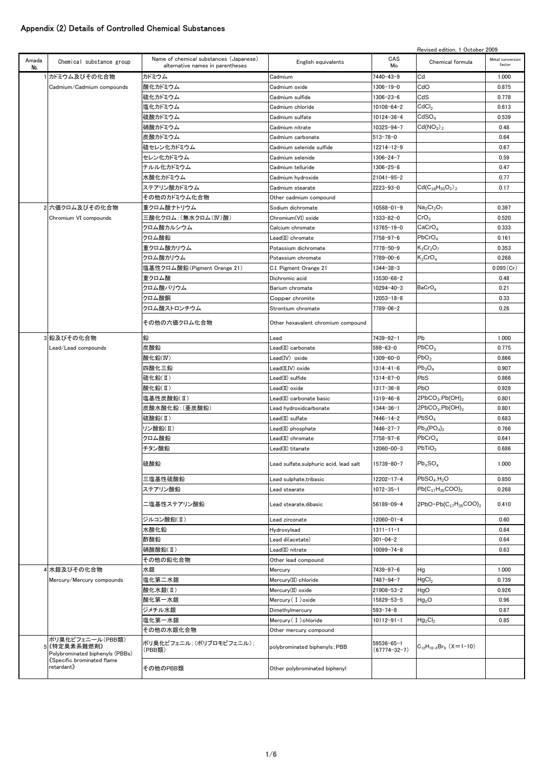## Appendix (2) Details of Controlled Chemical Substances

|              |                                                                   |                                                                            |                                         |                                  | Revised edition, 1 October 2009         |                            |
|--------------|-------------------------------------------------------------------|----------------------------------------------------------------------------|-----------------------------------------|----------------------------------|-----------------------------------------|----------------------------|
| Amada<br>No. | Chemical substance group                                          | Name of chemical substances (Japanese)<br>alternative names in parentheses | English equivalents                     | CAS<br>Mo                        | Chemical formula                        | Metal conversion<br>factor |
|              | 1カドミウム及びその化合物                                                     | カドミウム                                                                      | Cadmium                                 | 7440-43-9                        | Cd                                      | 1.000                      |
|              | Cadmium/Cadmium compounds                                         | 酸化カドミウム                                                                    | Cadmium oxide                           | 1306-19-0                        | CdO                                     | 0.875                      |
|              |                                                                   | 硫化カドミウム                                                                    | Cadmium sulfide                         | 1306-23-6                        | CdS                                     | 0.778                      |
|              |                                                                   | 塩化カドミウム                                                                    | Cadmium chloride                        | $10108 - 64 - 2$                 | CdCl <sub>2</sub>                       | 0.613                      |
|              |                                                                   | 硫酸カドミウム                                                                    | Cadmium sulfate                         | 10124-36-4                       | CdSO <sub>4</sub>                       | 0.539                      |
|              |                                                                   | 硝酸カドミウム                                                                    | Cadmium nitrate                         | 10325-94-7                       | Cd(NO <sub>3</sub> ) <sub>2</sub>       | 0.48                       |
|              |                                                                   | 炭酸カドミウム                                                                    | Cadmium carbonate                       | $513 - 78 - 0$                   |                                         | 0.64                       |
|              |                                                                   | 硫セレン化カドミウム                                                                 | Cadmium selenide sulfide                | 12214-12-9                       |                                         | 0.67                       |
|              |                                                                   | セレン化カドミウム                                                                  | Cadmium selenide                        | $1306 - 24 - 7$                  |                                         | 0.59                       |
|              |                                                                   | テルル化カドミウム                                                                  | Cadmium telluride                       | $1306 - 25 - 8$                  |                                         | 0.47                       |
|              |                                                                   | 水酸化カドミウム                                                                   | Cadmium hydroxide                       | 21041-95-2                       |                                         | 0.77                       |
|              |                                                                   | ステアリン酸カドミウム                                                                | Cadmium stearate                        | $2223 - 93 - 0$                  | $Cd(C_{18}H_{35}O_2)_2$                 | 0.17                       |
|              |                                                                   | その他のカドミウム化合物                                                               | Other cadmium compound                  |                                  |                                         |                            |
|              | 2 六価クロム及びその化合物                                                    | 重クロム酸ナトリウム                                                                 | Sodium dichromate                       | 10588-01-9                       | $Na2Cr2O7$                              | 0.397                      |
|              |                                                                   | 三酸化クロム: (無水クロム(Ⅳ)酸)                                                        |                                         |                                  | CrO <sub>3</sub>                        | 0.520                      |
|              | Chromium VI compounds                                             | クロム酸カルシウム                                                                  | Chromium(VI) oxide                      | 1333-82-0<br>13765-19-0          | $\mathsf{CaCrO}_4$                      |                            |
|              |                                                                   |                                                                            | Calcium chromate                        |                                  |                                         | 0.333                      |
|              |                                                                   | クロム酸鉛                                                                      | Lead(II) chromate                       | 7758-97-6                        | PbCrO <sub>4</sub>                      | 0.161                      |
|              |                                                                   | 重クロム酸カリウム                                                                  | Potassium dichromate                    | 7778-50-9                        | $K_2Cr_2O_7$                            | 0.353                      |
|              |                                                                   | クロム酸カリウム                                                                   | Potassium chromate                      | 7789-00-6                        | $\mathsf{K}_2\mathsf{CrO}_4$            | 0.268                      |
|              |                                                                   | 塩基性クロム酸鉛(Pigment Orange 21)                                                | C.I. Pigment Orange 21                  | 1344-38-3                        |                                         | 0.095(Cr)                  |
|              |                                                                   | 重クロム酸                                                                      | Dichromic acid                          | 13530-68-2                       |                                         | 0.48                       |
|              |                                                                   | クロム酸バリウム                                                                   | Barium chromate                         | 10294-40-3                       | BaCrO <sub>4</sub>                      | 0.21                       |
|              |                                                                   | クロム酸銅                                                                      | Copper chromite                         | $12053 - 18 - 8$                 |                                         | 0.33                       |
|              |                                                                   | クロム酸ストロンチウム                                                                | Strontium chromate                      | 7789-06-2                        |                                         | 0.26                       |
|              |                                                                   | その他の六価クロム化合物                                                               | Other hexavalent chromium compound      |                                  |                                         |                            |
|              | 3 鉛及びその化合物                                                        | 鉛                                                                          | Lead                                    | 7439-92-1                        | Pb                                      | 1.000                      |
|              | Lead/Lead compounds                                               | 炭酸鉛                                                                        | Lead(II) carbonate                      | $598 - 63 - 0$                   | PbCO <sub>3</sub>                       | 0.775                      |
|              |                                                                   | 酸化鉛(IV)                                                                    | Lead(IV) oxide                          | 1309-60-0                        | PbO <sub>2</sub>                        | 0.866                      |
|              |                                                                   | 四酸化三鉛                                                                      | Lead(II,IV) oxide                       | 1314-41-6                        | $Pb_3O_4$                               | 0.907                      |
|              |                                                                   | 硫化鉛(Ⅱ)                                                                     | Lead(II) sulfide                        | 1314-87-0                        | PbS                                     | 0.866                      |
|              |                                                                   | 酸化鉛(II)                                                                    | Lead(II) oxide                          | 1317-36-8                        | PbO                                     | 0.928                      |
|              |                                                                   | 塩基性炭酸鉛(II)                                                                 | Lead(II) carbonate basic                | 1319-46-6                        | 2PbCO <sub>3</sub> .Pb(OH) <sub>2</sub> | 0.801                      |
|              |                                                                   | 炭酸水酸化鉛; (亜炭酸鉛)                                                             | Lead hydroxidcarbonate                  | 1344-36-1                        | 2PbCO <sub>3</sub> .Pb(OH) <sub>2</sub> | 0.801                      |
|              |                                                                   | 硫酸鉛(II)                                                                    | Lead(II) sulfate                        | 7446-14-2                        | PbSO <sub>4</sub>                       | 0.683                      |
|              |                                                                   | リン酸鉛(Ⅱ)                                                                    | Lead(II) phosphate                      | 7446-27-7                        | $Pb_3(PO_4)_2$                          | 0.766                      |
|              |                                                                   | クロム酸鉛                                                                      | Lead(II) chromate                       | 7758-97-6                        | PbCrO <sub>4</sub>                      | 0.641                      |
|              |                                                                   | チタン酸鉛                                                                      | Lead(II) titanate                       | 12060-00-3                       | PbTiO <sub>3</sub>                      | 0.686                      |
|              |                                                                   | 硫酸鉛                                                                        | Lead sulfate, sulphuric acid, lead salt | 15739-80-7                       | $Pb_XSO_4$                              | 1.000                      |
|              |                                                                   | 三塩基性硫酸鉛                                                                    | Lead sulphate, tribasic                 | 12202-17-4                       | $PbSO4$ .H <sub>2</sub> O               | 0.850                      |
|              |                                                                   | ステアリン酸鉛                                                                    | Lead stearate                           | $1072 - 35 - 1$                  | $Pb(C_{17}H_{35}COO)_{2}$               | 0.268                      |
|              |                                                                   | ニ塩基性ステアリン酸鉛                                                                | Lead stearate, dibasic                  | 56189-09-4                       | $2PbO \cdot Pb(C_{17}H_{35}COO)$        | 0.410                      |
|              |                                                                   | ジルコン酸鉛(Ⅱ)                                                                  | Lead zirconate                          | 12060-01-4                       |                                         | 0.60                       |
|              |                                                                   |                                                                            | Hydroxylead                             |                                  |                                         | 0.84                       |
|              |                                                                   | 水酸化鉛                                                                       |                                         | 1311-11-1                        |                                         |                            |
|              |                                                                   | 酢酸鉛                                                                        | Lead di(acetate)                        | $301 - 04 - 2$                   |                                         | 0.64                       |
|              |                                                                   | 硝酸酸鉛(II)                                                                   | Lead(II) nitrate                        | $10099 - 74 - 8$                 |                                         | 0.63                       |
|              |                                                                   | その他の鉛化合物                                                                   | Other lead compound                     |                                  |                                         |                            |
|              | 4 水銀及びその化合物                                                       | 水銀                                                                         | Mercury                                 | 7439-97-6                        | Нg                                      | 1.000                      |
|              | Mercury/Mercury compounds                                         | 塩化第二水銀                                                                     | Mercury(II) chloride                    | 7487-94-7                        | HgCl <sub>2</sub>                       | 0.739                      |
|              |                                                                   | 酸化水銀(II)                                                                   | Mercury(II) oxide                       | 21908-53-2                       | HgO                                     | 0.926                      |
|              |                                                                   | 酸化第一水銀                                                                     | Mercury (I) oxide                       | 15829-53-5                       | Hg <sub>2</sub> O                       | 0.96                       |
|              |                                                                   | ジメチル水銀                                                                     | Dimethylmercury                         | $593 - 74 - 8$                   |                                         | 0.87                       |
|              |                                                                   | 塩化第一水銀                                                                     | Mercury (I) chloride                    | $10112 - 91 - 1$                 | Hg <sub>2</sub> Cl <sub>2</sub>         | 0.85                       |
|              |                                                                   | その他の水銀化合物                                                                  | Other mercury compound                  |                                  |                                         |                            |
|              | ポリ臭化ビフェニール(PBB類)<br>《特定臭素系難燃剤》<br>Polybrominated biphenyls (PBBs) | ポリ臭化ビフェニル ; (ポリブロモビフェニル) ;<br>(PBB類)                                       | polybrominated biphenyls; PBB           | 59536-65-1<br>$(67774 - 32 - 7)$ | $C_{12}H_{10-X}Br_X$ (X=1-10)           |                            |
|              | Specific brominated flame)<br>retardant》                          | その他のPBB類                                                                   | Other polybrominated biphenyl           |                                  |                                         |                            |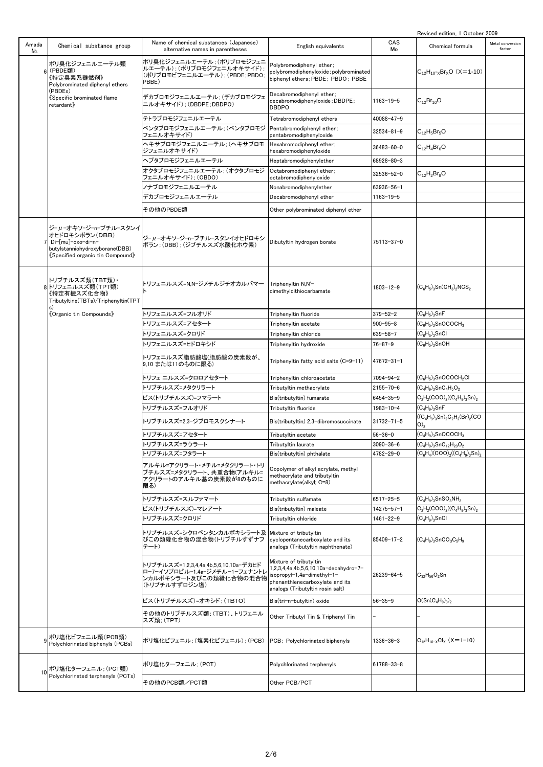|              |                                                                                                                                   |                                                                                                                   |                                                                                                                                                                       |                  | Revised edition, 1 October 2009                                                               |                            |
|--------------|-----------------------------------------------------------------------------------------------------------------------------------|-------------------------------------------------------------------------------------------------------------------|-----------------------------------------------------------------------------------------------------------------------------------------------------------------------|------------------|-----------------------------------------------------------------------------------------------|----------------------------|
| Amada<br>No. | Chemical substance group                                                                                                          | Name of chemical substances (Japanese)<br>alternative names in parentheses                                        | English equivalents                                                                                                                                                   | CAS<br>Mo        | Chemical formula                                                                              | Metal conversion<br>factor |
|              | ポリ臭化ジフェニルエーテル類<br>6 (PBDE類)<br>《特定臭素系難燃剤》<br>Polybrominated diphenyl ethers                                                       | ポリ臭化ジフェニルエーテル;(ポリブロモジフェニ<br>ルエーテル): (ポリブロモジフェニルオキサイド);<br>(ポリブロモビフェニルエーテル): (PBDE:PBDO:<br>PBBE)                  | Polybromodiphenyl ether;<br>polybromodiphenyloxide; polybrominated<br>biphenyl ethers; PBDE; PBDO; PBBE                                                               |                  | $C_{12}H_{10}$ - <sub>x</sub> Br <sub>x</sub> O (X=1-10)                                      |                            |
|              | (PBDEs)<br>《Specific brominated flame<br>retardant》                                                                               | デカブロモジフェニルエーテル; (デカブロモジフェ<br>ニルオキサイド); (DBDPE; DBDPO)                                                             | Decabromodiphenyl ether;<br>decabromodiphenyloxide; DBDPE;<br><b>DBDPO</b>                                                                                            | $1163 - 19 - 5$  | $C_{12}Br_{10}O$                                                                              |                            |
|              |                                                                                                                                   | テトラブロモジフェニルエーテル                                                                                                   | Tetrabromodiphenyl ethers                                                                                                                                             | 40088-47-9       |                                                                                               |                            |
|              |                                                                                                                                   | ペンタブロモジフェニルエーテル: (ペンタブロモジ<br>フェニルオキサイド)                                                                           | Pentabromodiphenyl ether;<br>pentabromodiphenvloxide                                                                                                                  | $32534 - 81 - 9$ | $C_{12}H_5Br_5O$                                                                              |                            |
|              |                                                                                                                                   | ヘキサブロモジフェニルエーテル ; (ヘキサブロモ<br>ジフェニルオキサイド)                                                                          | Hexabromodiphenyl ether;<br>hexabromodiphenyloxide                                                                                                                    | 36483-60-0       | $C_{12}H_4Br_6O$                                                                              |                            |
|              |                                                                                                                                   | ヘプタブロモジフェニルエーテル                                                                                                   | Heptabromodiphenylether                                                                                                                                               | 68928-80-3       |                                                                                               |                            |
|              |                                                                                                                                   | オクタブロモジフェニルエーテル: (オクタブロモジ                                                                                         | Octabromodiphenyl ether;                                                                                                                                              | 32536-52-0       | $C_{12}H_2Br_8O$                                                                              |                            |
|              |                                                                                                                                   | フェニルオキサイド); (OBDO)                                                                                                | octabromodiphenyloxide                                                                                                                                                |                  |                                                                                               |                            |
|              |                                                                                                                                   | ノナブロモジフェニルエーテル                                                                                                    | Nonabromodiphenylether                                                                                                                                                | 63936-56-1       |                                                                                               |                            |
|              |                                                                                                                                   | デカブロモジフェニルエーテル                                                                                                    | Decabromodiphenyl ether                                                                                                                                               | $1163 - 19 - 5$  |                                                                                               |                            |
|              |                                                                                                                                   | その他のPBDE類                                                                                                         | Other polybrominated diphenyl ether                                                                                                                                   |                  |                                                                                               |                            |
|              | ジーμーオキソージーnーブチルースタンイ<br>オヒドロキシボラン(DBB)<br>Di-[mu]-oxo-di-n-<br>butylstanniohydroxyborane(DBB)<br>《Specified organic tin Compound》 | ジーμーオキソージーnーブチルースタンイオヒドロキシ<br> ボラン: (DBB): (ジブチルスズ水酸化ホウ素)                                                         | Dibutyltin hydrogen borate                                                                                                                                            | 75113-37-0       |                                                                                               |                            |
|              | トリブチルスズ類(TBT類)・<br>8トリフェニルスズ類(TPT類)<br>《特定有機スズ化合物》<br>Tributyltine(TBTs)/Triphenyltin(TPT                                         | トリフェニルスズ=N.N-ジメチルジチオカルバマー                                                                                         | Triphenyltin N,N'-<br>dimethyldithiocarbamate                                                                                                                         | $1803 - 12 - 9$  | $(C_6H_5)_3$ Sn $(CH_3)_2$ NCS <sub>2</sub>                                                   |                            |
|              | 《Organic tin Compounds》                                                                                                           | トリフェニルスズ=フルオリド                                                                                                    | Triphenyltin fluoride                                                                                                                                                 | $379 - 52 - 2$   | $\left( \mathsf{C}_6\mathsf{H}_5 \right)_{3}$ SnF                                             |                            |
|              |                                                                                                                                   | トリフェニルスズ=アセタート                                                                                                    | Triphenyltin acetate                                                                                                                                                  | $900 - 95 - 8$   | $(C_6H_5)_3$ SnOCOCH <sub>3</sub>                                                             |                            |
|              |                                                                                                                                   | トリフェニルスズ=クロリド                                                                                                     | Triphenyltin chloride                                                                                                                                                 | $639 - 58 - 7$   | (C <sub>6</sub> H <sub>5</sub> ) <sub>3</sub> SnCl                                            |                            |
|              |                                                                                                                                   | トリフェニルスズ=ヒドロキシド                                                                                                   | Triphenyltin hydroxide                                                                                                                                                | $76 - 87 - 9$    | $(C_6H_5)_3$ SnOH                                                                             |                            |
|              |                                                                                                                                   | トリフェニルスズ脂肪酸塩(脂肪酸の炭素数が、<br>9,10 または11のものに限る)                                                                       | Triphenyltin fatty acid salts (C=9-11)                                                                                                                                | $47672 - 31 - 1$ |                                                                                               |                            |
|              |                                                                                                                                   | トリフェ ニルスズ=クロロアセタート                                                                                                | Triphenyltin chloroacetate                                                                                                                                            | 7094-94-2        | (C <sub>6</sub> H <sub>5</sub> ) <sub>3</sub> SnOCOCH <sub>2</sub> Cl                         |                            |
|              |                                                                                                                                   | トリブチルスズ=メタクリラート                                                                                                   | Tributyltin methacrylate                                                                                                                                              | 2155-70-6        | $(\mathsf{C_4H_9})_3\mathsf{SnC_4H_5O_2}$                                                     |                            |
|              |                                                                                                                                   | ビス(トリブチルスズ)=フマラート                                                                                                 | Bis(tributyltin) fumarate                                                                                                                                             | $6454 - 35 - 9$  | $C_2H_2(COO)_2((C_4H_9)_3Sn)_2$                                                               |                            |
|              |                                                                                                                                   | トリブチルスズ=フルオリド                                                                                                     | Tributyltin fluoride                                                                                                                                                  | $1983 - 10 - 4$  | $\left( \mathsf{C}_{4}\mathsf{H}_{9}\right) _{3}\mathsf{SnF}$                                 |                            |
|              |                                                                                                                                   | トリブチルスズ=2.3-ジブロモスクシナート                                                                                            | Bis(tributyltin) 2,3-dibromosuccinate                                                                                                                                 | 31732-71-5       | $((C_4H_9)_3Sn)_2C_2H_2(Br)_2(CO)$<br>$O)_2$                                                  |                            |
|              |                                                                                                                                   | トリブチルスズ=アセタート                                                                                                     | Tributyltin acetate                                                                                                                                                   | $56 - 36 - 0$    | $(C_4H_9)_3$ SnOCOCH <sub>3</sub>                                                             |                            |
|              |                                                                                                                                   | トリブチルスズ=ラウラート                                                                                                     | Tributyltin laurate                                                                                                                                                   | $3090 - 36 - 6$  | $(C_4H_9)_3SnC_{12}H_{23}O_2$                                                                 |                            |
|              |                                                                                                                                   | トリブチルスズ=フタラート                                                                                                     | Bis(tributyltin) phthalate                                                                                                                                            | 4782-29-0        | $(C_6H_4)(COO)_2((C_4H_9)_3Sn)_2$                                                             |                            |
|              |                                                                                                                                   | アルキル=アクリラート・メチル=メタクリラート・トリ<br>ブチルスズ=メタクリラート、共重合物(アルキル=<br>アクリラートのアルキル基の炭素数が8のものに<br> 限る)                          | Copolymer of alkyl acrylate, methyl<br>methacrylate and tributyltin<br>methacrylate(alkyl; C=8)                                                                       |                  |                                                                                               |                            |
|              |                                                                                                                                   | トリブチルスズ=スルファマート                                                                                                   | Tributyltin sulfamate                                                                                                                                                 | 6517-25-5        | $\rm (C_4H_9)_3SnSO_3NH_2$                                                                    |                            |
|              |                                                                                                                                   | ビス(トリブチルスズ)=マレアート                                                                                                 | Bis(tributyltin) maleate                                                                                                                                              | 14275-57-1       | $C_2H_2(COO)_2((C_4H_9)_3Sn)_2$                                                               |                            |
|              |                                                                                                                                   | トリブチルスズ=クロリド                                                                                                      | Tributyltin chloride                                                                                                                                                  | $1461 - 22 - 9$  | $(C_4H_9)_3$ SnCl                                                                             |                            |
|              |                                                                                                                                   | トリブチルスズ=シクロペンタンカルボキシラート及 Mixture of tributyltin<br>びこの類縁化合物の混合物(トリブチルすずナフ<br>テート)                                 | cyclopentanecarboxylate and its<br>analogs (Tributyltin naphthenate)                                                                                                  | 85409-17-2       | (C <sub>4</sub> H <sub>9</sub> ) <sub>3</sub> SnCO <sub>3</sub> C <sub>5</sub> H <sub>9</sub> |                            |
|              |                                                                                                                                   | トリブチルスズ=1,2,3,4,4a,4b,5,6,10,10a-デカヒド<br>ロー7-イソプロピル−1,4a−ジメチル−1−フェナントレ<br>ンカルボキシラート及びこの類縁化合物の混合物<br>(トリブチルすずロジン塩) | Mixture of tributyltin<br>-7−0.2,3,4,4a,4b,5,6,10,10a−decahydro,<br>isopropyl-1,4a-dimethyl-1-<br>phenanthlenecarboxylate and its<br>analogs (Tributyltin rosin salt) | 26239-64-5       | $C_{32}H_{56}O_2$ Sn                                                                          |                            |
|              |                                                                                                                                   | ビス(トリブチルスズ)=オキシド; (TBTO)                                                                                          | Bis(tri-n-butyltin) oxide                                                                                                                                             | $56 - 35 - 9$    | $O(Sn(C_4H_9)_3)_2$                                                                           |                            |
|              |                                                                                                                                   | その他のトリブチルスズ類; (TBT)、トリフェニル<br>スズ類; (TPT)                                                                          | Other Tributyl Tin & Triphenyl Tin                                                                                                                                    |                  |                                                                                               |                            |
|              | 9ポリ塩化ビフェニル類(PCB類)<br>Polychlorinated biphenyls (PCBs)                                                                             | ポリ塩化ビフェニル; (塩素化ビフェニル); (PCB)                                                                                      | PCB; Polychlorinated biphenyls                                                                                                                                        | 1336-36-3        | $C_{12}H_{10-X}Cl_X$ (X=1-10)                                                                 |                            |
|              | 10 ポリ塩化ターフェニル; (PCT類)<br>Polychlorinated terphenyls (PCTs)                                                                        | ポリ塩化ターフェニル; (PCT)                                                                                                 | Polychlorinated terphenyls                                                                                                                                            | 61788-33-8       |                                                                                               |                            |
|              |                                                                                                                                   | その他のPCB類/PCT類                                                                                                     | Other PCB/PCT                                                                                                                                                         |                  |                                                                                               |                            |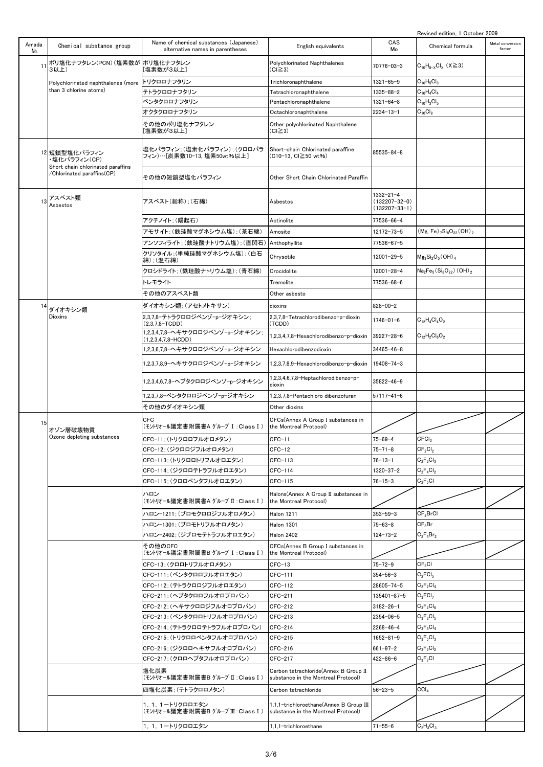|              |                                                                    |                                                                            |                                                                                |                                                         | Revised edition, 1 October 2009                                           |                            |
|--------------|--------------------------------------------------------------------|----------------------------------------------------------------------------|--------------------------------------------------------------------------------|---------------------------------------------------------|---------------------------------------------------------------------------|----------------------------|
| Amada<br>No. | Chemical substance group                                           | Name of chemical substances (Japanese)<br>alternative names in parentheses | English equivalents                                                            | CAS<br>Mo                                               | Chemical formula                                                          | Metal conversion<br>factor |
| 11           | ポリ塩化ナフタレン(PCN) (塩素数が <br>3以上)                                      | ポリ塩化ナフタレン<br>[塩素数が3以上]                                                     | Polychlorinated Naphthalenes<br>(CI≧3)                                         | 70776-03-3                                              | $C_{10}H_{8-X}Cl_X$ (X $\geq$ 3)                                          |                            |
|              | Polychlorinated naphthalenes (more                                 | トリクロロナフタリン                                                                 | Trichloronaphthalene                                                           | 1321-65-9                                               | $C_{10}H_5Cl_3$                                                           |                            |
|              | than 3 chlorine atoms)                                             | テトラクロロナフタリン                                                                | Tetrachloronaphthalene                                                         | 1335-88-2                                               | $C_{10}H_4Cl_4$                                                           |                            |
|              |                                                                    | ペンタクロロナフタリン                                                                | Pentachloronaphthalene                                                         | 1321-64-8                                               | $C_{10}H_3Cl_5$                                                           |                            |
|              |                                                                    | オクタクロロナフタリン                                                                | Octachloronaphthalene                                                          | $2234 - 13 - 1$                                         | $C_{10}Cl_8$                                                              |                            |
|              |                                                                    | その他のポリ塩化ナフタレン<br>[塩素数が3以上]                                                 | Other polychlorinated Naphthalene<br>(CI≧3)                                    |                                                         |                                                                           |                            |
|              | 12 短鎖型塩化パラフィン<br>・塩化パラフィン(CP)<br>Short chain chlorinated paraffins | 塩化パラフィン:(塩素化パラフィン):(クロロパラ<br>フィン)…[炭素数10−13, 塩素50wt%以上]                    | Short-chain Chlorinated paraffine<br>(C10-13, Cl≧50 wt%)                       | 85535-84-8                                              |                                                                           |                            |
|              | /Chlorinated paraffins(CP)                                         | その他の短鎖型塩化パラフィン                                                             | Other Short Chain Chlorinated Paraffin                                         |                                                         |                                                                           |                            |
| 13           | アスベスト類<br>Asbestos                                                 | アスベスト(総称);(石綿)                                                             | Asbestos                                                                       | 1332-21-4<br>$(132207 - 32 - 0)$<br>$(132207 - 33 - 1)$ |                                                                           |                            |
|              |                                                                    | アクチノイト: (陽起石)                                                              | Actinolite                                                                     | 77536-66-4                                              |                                                                           |                            |
|              |                                                                    | アモサイト: (鉄珪酸マグネシウム塩): (茶石綿)                                                 | Amosite                                                                        | 12172-73-5                                              | $(Mg, Fe)$ <sub>7</sub> Si <sub>8</sub> O <sub>22</sub> (OH) <sub>2</sub> |                            |
|              |                                                                    | アンソフィライト: (鉄珪酸ナトリウム塩): (直閃石)                                               | Anthophyllite                                                                  | 77536-67-5                                              |                                                                           |                            |
|              |                                                                    | クリソタイル:(単純珪酸マグネシウム塩):(白石<br>綿): (温石綿)                                      | Chrysotile                                                                     | 12001-29-5                                              | $Mg_3Si_2O_5(OH)_4$                                                       |                            |
|              |                                                                    | クロシドライト:(鉄珪酸ナトリウム塩);(青石綿)                                                  | Crocidolite                                                                    | 12001-28-4                                              | $Na2Fe5(Si8O22) (OH)2$                                                    |                            |
|              |                                                                    | トレモライト                                                                     | Tremolite                                                                      | 77536-68-6                                              |                                                                           |                            |
|              |                                                                    | その他のアスベスト類                                                                 | Other asbesto                                                                  |                                                         |                                                                           |                            |
|              |                                                                    |                                                                            |                                                                                |                                                         |                                                                           |                            |
| 14           | ダイオキシン類                                                            | ダイオキシン類; (アセトメトキサン)                                                        | dioxins                                                                        | $828 - 00 - 2$                                          |                                                                           |                            |
|              | Dioxins                                                            | 2,3,7,8-テトラクロロジベンゾ-p-ジオキシン:<br>(2,3,7,8–TCDD)                              | 2,3,7,8-Tetrachlorodibenzo-p-dioxin<br>(TCDD)                                  | $1746 - 01 - 6$                                         | $C_{12}H_4Cl_4O_2$                                                        |                            |
|              |                                                                    | 1.2.3.4.7.8-ヘキサクロロジベンゾーpージオキシン:<br>(1,2,3,4,7,8-HCDD)                      | 1,2,3,4,7,8-Hexachlorodibenzo-p-dioxin                                         | 39227-28-6                                              | $C_{12}H_2Cl_6O_2$                                                        |                            |
|              |                                                                    | 1.2.3.6.7.8-ヘキサクロロジベンゾーpージオキシン                                             | Hexachlorodibenzodioxin                                                        | $34465 - 46 - 8$                                        |                                                                           |                            |
|              |                                                                    | 1.2.3.7.8.9-ヘキサクロロジベンゾーpージオキシン                                             | 1,2,3,7,8,9-Hexachlorodibenzo-p-dioxin                                         | 19408-74-3                                              |                                                                           |                            |
|              |                                                                    | 1,2,3,4,6,7,8-ヘプタクロロジベンゾーpージオキシン                                           | 1,2,3,4,6,7,8-Heptachlorodibenzo-p-<br>dioxin                                  | 35822-46-9                                              |                                                                           |                            |
|              |                                                                    | 1.2.3.7.8-ペンタクロロジベンゾーpージオキシン                                               | 1,2,3,7,8-Pentachloro dibenzofuran                                             | $57117 - 41 - 6$                                        |                                                                           |                            |
|              |                                                                    | その他のダイオキシン類                                                                | Other dioxins                                                                  |                                                         |                                                                           |                            |
| 15           | オゾン層破壊物質                                                           | CFC<br>(モントリオール議定書附属書A グループ I :Class I )                                   | CFCs(Annex A Group I substances in<br>the Montreal Protocol)                   |                                                         |                                                                           |                            |
|              | Ozone depleting substances                                         | CFC-11; (トリクロロフルオロメタン)                                                     | CFC-11                                                                         | 75–69–4                                                 | CFCI <sub>3</sub>                                                         |                            |
|              |                                                                    | CFC-12; (ジクロロジフルオロメタン)                                                     | $CFC-12$                                                                       | $75 - 71 - 8$                                           | $CF_2Cl_2$                                                                |                            |
|              |                                                                    | CFC-113; (トリクロロトリフルオロエタン)                                                  | CFC-113                                                                        | $76 - 13 - 1$                                           | $C_2F_3Cl_3$                                                              |                            |
|              |                                                                    | CFC-114; (ジクロロテトラフルオロエタン)                                                  | CFC-114                                                                        | 1320-37-2                                               | $C_2F_4Cl_2$                                                              |                            |
|              |                                                                    | CFC-115; (クロロペンタフルオロエタン)                                                   | CFC-115                                                                        | $76 - 15 - 3$                                           | $C_2F_5Cl$                                                                |                            |
|              |                                                                    |                                                                            |                                                                                |                                                         |                                                                           |                            |
|              |                                                                    | ハロン<br>(モントリオール議定書附属書A グループⅡ :Class I )                                    | Halons(Annex A Group II substances in<br>the Montreal Protocol)                |                                                         |                                                                           |                            |
|              |                                                                    | ハロン-1211;(ブロモクロロジフルオロメタン)                                                  | Halon 1211                                                                     | $353 - 59 - 3$                                          | $CF_2BrCl$                                                                |                            |
|              |                                                                    | ハロン-1301;(ブロモトリフルオロメタン)                                                    | Halon 1301                                                                     | $75 - 63 - 8$                                           | $CF_3Br$                                                                  |                            |
|              |                                                                    | ハロンー2402;(ジブロモテトラフルオロエタン)                                                  | <b>Halon 2402</b>                                                              | 124-73-2                                                | $C_2F_4Br_2$                                                              |                            |
|              |                                                                    | その他のCFC<br>(モントリオール議定書附属書B グループ I :Class I )                               | CFCs(Annex B Group I substances in<br>the Montreal Protocol)                   |                                                         |                                                                           |                            |
|              |                                                                    | CFC-13; (クロロトリフルオロメタン)                                                     | $CFC-13$                                                                       | $75 - 72 - 9$                                           | CF <sub>3</sub> Cl                                                        |                            |
|              |                                                                    | CFC-111; (ペンタクロロフルオロエタン)                                                   | CFC-111                                                                        | $354 - 56 - 3$                                          | $C_2FCI_5$                                                                |                            |
|              |                                                                    | CFC-112; (テトラクロロジフルオロエタン)                                                  | CFC-112                                                                        | 28605-74-5                                              | $C_2F_2Cl_4$                                                              |                            |
|              |                                                                    | CFC-211; (ヘプタクロロフルオロプロパン)                                                  | CFC-211                                                                        | 135401-87-5                                             | $C_3$ FCI <sub>7</sub>                                                    |                            |
|              |                                                                    | CFC-212; (ヘキサクロロジフルオロプロパン)                                                 | CFC-212                                                                        | $3182 - 26 - 1$                                         | $C_3F_2Cl_6$                                                              |                            |
|              |                                                                    | CFC-213; (ペンタクロロトリフルオロプロパン)                                                | CFC-213                                                                        | $2354 - 06 - 5$                                         | $C_3F_3Cl_5$                                                              |                            |
|              |                                                                    | CFC-214; (テトラクロロテトラフルオロプロパン)                                               | CFC-214                                                                        | $2268 - 46 - 4$                                         | $C_3F_4Cl_4$                                                              |                            |
|              |                                                                    | CFC-215; (トリクロロペンタフルオロプロパン)                                                | CFC-215                                                                        | $1652 - 81 - 9$                                         | $C_3F_5Cl_3$                                                              |                            |
|              |                                                                    | CFC-216; (ジクロロヘキサフルオロプロパン)                                                 | CFC-216                                                                        | $661 - 97 - 2$                                          | $C_3F_6Cl_2$                                                              |                            |
|              |                                                                    | CFC-217; (クロロヘプタフルオロプロパン)                                                  | CFC-217                                                                        | $422 - 86 - 6$                                          | $C_3F_7Cl$                                                                |                            |
|              |                                                                    | 塩化炭素<br>(モントリオール議定書附属書B グループⅡ :Class I )                                   | Carbon tetrachloride(Annex B Group II<br>substance in the Montreal Protocol)   |                                                         |                                                                           |                            |
|              |                                                                    | 四塩化炭素;(テトラクロロメタン)                                                          | Carbon tetrachloride                                                           | $56 - 23 - 5$                                           | CCI <sub>4</sub>                                                          |                            |
|              |                                                                    |                                                                            |                                                                                |                                                         |                                                                           |                            |
|              |                                                                    | 1, 1, 1ートリクロロエタン<br>(モントリオール議定書附属書B グループⅢ : Class I )                      | 1,1,1-trichloroethane(Annex B Group III<br>substance in the Montreal Protocol) |                                                         |                                                                           |                            |
|              |                                                                    | 1, 1, 1-トリクロロエタン                                                           | 1,1,1-trichloroethane                                                          | $71 - 55 - 6$                                           | $C_2H_3Cl_3$                                                              |                            |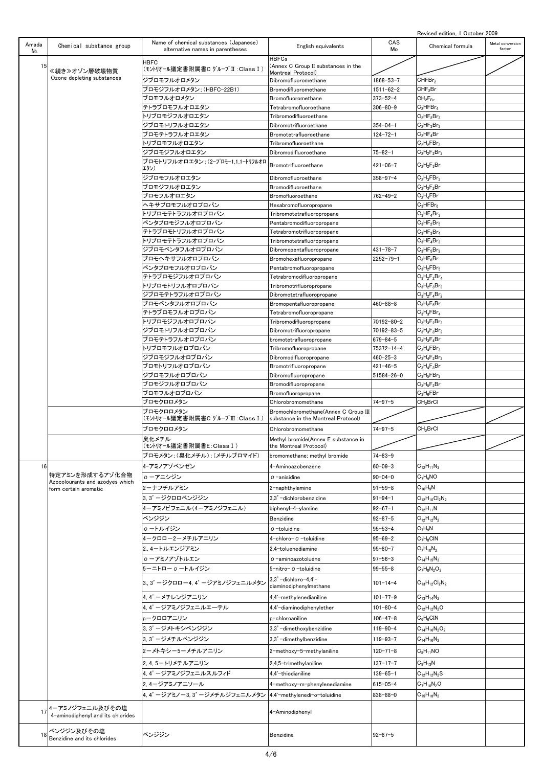|              |                                                          |                                                                            |                                                                           |                 | Revised edition, 1 October 2009 |                            |
|--------------|----------------------------------------------------------|----------------------------------------------------------------------------|---------------------------------------------------------------------------|-----------------|---------------------------------|----------------------------|
| Amada<br>No. | Chemical substance group                                 | Name of chemical substances (Japanese)<br>alternative names in parentheses | English equivalents                                                       | CAS<br>Mo       | Chemical formula                | Metal conversion<br>factor |
| 15           | ≪続き≫オゾン層破壊物質                                             | HBFC<br>(モントリオール議定書附属書C グループⅡ :Class I )                                   | <b>HBFCs</b><br>(Annex C Group II substances in the<br>Montreal Protocol) |                 |                                 |                            |
|              | Ozone depleting substances                               | ジブロモフルオロメタン                                                                | Dibromofluoromethane                                                      | 1868-53-7       | CHFBr <sub>2</sub>              |                            |
|              |                                                          | ブロモジフルオロメタン: (HBFC-22B1)                                                   | Bromodifluoromethane                                                      | $1511 - 62 - 2$ | CHF <sub>2</sub> Br             |                            |
|              |                                                          | ブロモフルオロメタン                                                                 | Bromofluoromethane                                                        | $373 - 52 - 4$  | $CH_2F_{Br}$                    |                            |
|              |                                                          | テトラブロモフルオロエタン                                                              | Tetrabromofluoroethane                                                    | $306 - 80 - 9$  | $C_2$ HFB $r_4$                 |                            |
|              |                                                          | トリブロモジフルオロエタン                                                              | Tribromodifluoroethane                                                    |                 | $C_2HF_2Br_3$                   |                            |
|              |                                                          | ジブロモトリフルオロエタン                                                              | Dibromotrifluoroethane                                                    | $354 - 04 - 1$  | $C_2HF_3Br_2$                   |                            |
|              |                                                          | ブロモテトラフルオロエタン                                                              | Bromotetrafluoroethane                                                    | $124 - 72 - 1$  | $C_2HF_4Br$                     |                            |
|              |                                                          | トリブロモフルオロエタン                                                               | Tribromofluoroethane                                                      |                 | $C_2H_2FBr_3$                   |                            |
|              |                                                          | ジブロモジフルオロエタン                                                               | Dibromodifluoroethane                                                     | $75 - 82 - 1$   | $C_2H_2F_2Br_2$                 |                            |
|              |                                                          | ブロモトリフルオロエタン: (2-ブロモー1.1.1-トリフルオロ<br>エタン)                                  | Bromotrifluoroethane                                                      | $421 - 06 - 7$  | $C_2H_2F_3Br$                   |                            |
|              |                                                          | ジブロモフルオロエタン                                                                | Dibromofluoroethane                                                       | $358 - 97 - 4$  | $C_2H_3FBr_2$                   |                            |
|              |                                                          | ブロモジフルオロエタン                                                                | Bromodifluoroethane                                                       |                 | $C_2H_3F_2Br$                   |                            |
|              |                                                          | ブロモフルオロエタン                                                                 | Bromofluoroethane                                                         | $762 - 49 - 2$  | $C_2H_4FBr$                     |                            |
|              |                                                          | ヘキサブロモフルオロプロパン                                                             | Hexabromofluoropropane                                                    |                 | $C_3$ HFB $r_6$                 |                            |
|              |                                                          | ・リブロモテトラフルオロプロパン                                                           | Tribromotetrafluoropropane                                                |                 | $C_3HF_4Br_3$                   |                            |
|              |                                                          | ペンタブロモジフルオロプロパン                                                            | Pentabromodifluoropropane                                                 |                 | $C_3HF_2Br_5$                   |                            |
|              |                                                          | テトラブロモトリフルオロプロパン                                                           | Tetrabromotrifluoropropane                                                |                 | $C_3HF_3Br_4$                   |                            |
|              |                                                          | トリブロモテトラフルオロプロパン                                                           | Tribromotetrafluoropropane                                                |                 | $C_3HF_4Br_3$                   |                            |
|              |                                                          | ジブロモペンタフルオロプロパン                                                            | Dibromopentafluoropropane                                                 | $431 - 78 - 7$  | $C_3HF_5Br_2$                   |                            |
|              |                                                          | ブロモヘキサフルオロプロパン                                                             | Bromohexafluoropropane                                                    | $2252 - 79 - 1$ | $C_3HF_6Br$                     |                            |
|              |                                                          | ペンタブロモフルオロプロパン                                                             | Pentabromofluoropropane                                                   |                 | $C_3H_2FBr_5$                   |                            |
|              |                                                          | テトラブロモジフルオロプロパン                                                            | Tetrabromodifluoropropane                                                 |                 | $C_3H_2F_2Br_4$                 |                            |
|              |                                                          | トリブロモトリフルオロプロパン                                                            | Tribromotrifluoropropane                                                  |                 | $C_3H_2F_3Br_3$                 |                            |
|              |                                                          | ジブロモテトラフルオロプロパン                                                            | Dibromotetrafluoropropane                                                 |                 | $C_3H_2F_4Br_2$                 |                            |
|              |                                                          | ブロモペンタフルオロプロパン                                                             | Bromopentafluoropropane                                                   | $460 - 88 - 8$  | $C_3H_2F_5Br$                   |                            |
|              |                                                          | テトラブロモフルオロプロパン                                                             | Tetrabromofluoropropane                                                   |                 | $C_3H_3FBr_4$                   |                            |
|              |                                                          | トリブロモジフルオロプロパン                                                             | Tribromodifluoropropane                                                   | 70192-80-2      | $C_3H_3F_2Br_3$                 |                            |
|              |                                                          | ジブロモトリフルオロプロパン                                                             | Dibromotrifluoropropane                                                   | 70192-83-5      | $C_3H_3F_3Br_2$                 |                            |
|              |                                                          | ブロモテトラフルオロプロパン                                                             | bromotetrafluoropropane                                                   | $679 - 84 - 5$  | $C_3H_3F_4Br$                   |                            |
|              |                                                          | トリブロモフルオロプロパン                                                              | Tribromofluoropropane                                                     | 75372-14-4      | $C_3H_4FBr_3$                   |                            |
|              |                                                          | ジブロモジフルオロプロパン                                                              | Dibromodifluoropropane                                                    | $460 - 25 - 3$  | $C_3H_4F_2Br_2$                 |                            |
|              |                                                          | ブロモトリフルオロプロパン                                                              | Bromotrifluoropropane                                                     | $421 - 46 - 5$  | $C_3H_4F_3Br$                   |                            |
|              |                                                          | ジブロモフルオロプロパン                                                               | Dibromofluoropropane                                                      | 51584-26-0      | $C_3H_5FBr_2$                   |                            |
|              |                                                          | ブロモジフルオロプロパン                                                               | Bromodifluoropropane                                                      |                 | $C_3H_5F_2Br$                   |                            |
|              |                                                          | ブロモフルオロプロパン                                                                | Bromofluoropropane                                                        |                 | $C_3H_6FBr$                     |                            |
|              |                                                          | ブロモクロロメタン                                                                  | Chlorobromomethane                                                        | $74 - 97 - 5$   | CH <sub>2</sub> BrCl            |                            |
|              |                                                          | ブロモクロロメタン<br>(モントリオール議定書附属書C グループⅢ : Class I )                             | Bromochloromethane(Annex C Group III                                      |                 |                                 |                            |
|              |                                                          |                                                                            | substance in the Montreal Protocol)                                       |                 |                                 |                            |
|              |                                                          | ブロモクロロメタン<br>臭化メチル                                                         | Chlorobromomethane<br>Methyl bromide (Annex E substance in                | $74 - 97 - 5$   | CH <sub>2</sub> BrCl            |                            |
|              |                                                          | (モントリオール議定書附属書E:Class I )                                                  | the Montreal Protocol)                                                    |                 |                                 |                            |
|              |                                                          | ブロモメタン: (臭化メチル): (メチルブロマイド)                                                | bromomethane; methyl bromide                                              | $74 - 83 - 9$   |                                 |                            |
| 16           |                                                          | 4-アミノアゾベンゼン                                                                | 4-Aminoazobenzene                                                         | $60 - 09 - 3$   | $C_{12}H_{11}N_3$               |                            |
|              | 特定アミンを形成するアゾ化合物                                          |                                                                            |                                                                           |                 |                                 |                            |
|              | Azocolourants and azodyes which<br>form certain aromatic | ο ーアニシジン                                                                   | 0-anisidine                                                               | $90 - 04 - 0$   | $C_7H_9NO$                      |                            |
|              |                                                          | 2ーナフチルアミン                                                                  | 2-naphthylamine                                                           | $91 - 59 - 8$   | $C_{10}H_9N$                    |                            |
|              |                                                          | 3, 3' ージクロロベンジジン                                                           | 3,3'-dichlorobenzidine                                                    | $91 - 94 - 1$   | $C_{12}H_{10}Cl_2N_2$           |                            |
|              |                                                          | 4ーアミノビフェニル(4ーアミノジフェニル)                                                     | biphenyl-4-ylamine                                                        | $92 - 67 - 1$   | $C_{12}H_{11}N$                 |                            |
|              |                                                          | ベンジジン                                                                      | Benzidine                                                                 | $92 - 87 - 5$   | $C_{12}H_{12}N_{2}$             |                            |
|              |                                                          | ο ートルイジン                                                                   | 0-toluidine                                                               | $95 - 53 - 4$   | $C_7H_9N$                       |                            |
|              |                                                          | 4ークロロー2ーメチルアニリン                                                            | 4-chloro- 0 -toluidine                                                    | $95 - 69 - 2$   | $C_7H_8CIN$                     |                            |
|              |                                                          |                                                                            |                                                                           |                 |                                 |                            |
|              |                                                          | 2、4ートルエンジアミン                                                               | 2,4-toluenediamine                                                        | $95 - 80 - 7$   | $C_7H_{10}N_2$                  |                            |
|              |                                                          | ο ーアミノアゾトルエン                                                               | 0-aminoazotoluene                                                         | $97 - 56 - 3$   | $C_{14}H_{15}N_3$               |                            |
|              |                                                          | 5-ニトロー o ートルイジン                                                            | 5-nitro- 0 -toluidine                                                     | $99 - 55 - 8$   | $C_7H_8N_2O_2$                  |                            |
|              |                                                          | 3、3' ージクロロー4.4' ージアミノジフェニルメタン                                              | 3,3'-dichloro-4,4'-<br>diaminodiphenylmethane                             | $101 - 14 - 4$  | $C_{13}H_{12}Cl_2N_2$           |                            |
|              |                                                          | 4.4' ーメチレンジアニリン                                                            | 4,4'-methylenedianiline                                                   | 101-77-9        | $C_{13}H_{14}N_2$               |                            |
|              |                                                          | 4,4' ージアミノジフェニルエーテル                                                        | 4,4'-diaminodiphenylether                                                 | 101-80-4        | $C_{12}H_{12}N_2O$              |                            |
|              |                                                          |                                                                            |                                                                           |                 |                                 |                            |
|              |                                                          | pークロロアニリン                                                                  | p-chloroaniline                                                           | 106-47-8        | $C_6H_6CIN$                     |                            |
|              |                                                          | 3,3' ージメトキシベンジジン                                                           | 3,3'-dimethoxybenzidine                                                   | $119 - 90 - 4$  | $C_{14}H_{16}N_2O_2$            |                            |
|              |                                                          | 3, 3' ージメチルベンジジン                                                           | 3,3'-dimethylbenzidine                                                    | $119 - 93 - 7$  | $C_{14}H_{16}N_2$               |                            |
|              |                                                          | 2-メトキシー5-メチルアニリン                                                           | 2-methoxy-5-methylaniline                                                 | $120 - 71 - 8$  | $C_8H_{11}NO$                   |                            |
|              |                                                          |                                                                            | 2,4,5-trimethylaniline                                                    | $137 - 17 - 7$  | $C_9H_{13}N$                    |                            |
|              |                                                          | 2, 4, 5ートリメチルアニリン                                                          |                                                                           |                 |                                 |                            |
|              |                                                          | 4, 4' ージアミノジフェニルスルフィド                                                      | 4,4'-thiodianiline                                                        | 139-65-1        | $G_{12}H_{12}N_2S$              |                            |
|              |                                                          | 2.4ージアミノアニソール                                                              | 4-methoxy-m-phenylenediamine                                              | $615 - 05 - 4$  | $C_7H_{10}N_2O$                 |                            |
|              |                                                          | 4, 4' ージアミノー3, 3' ージメチルジフェニルメタン                                            | 4,4'-methylenedi-o-toluidine                                              | $838 - 88 - 0$  | $C_{15}H_{18}N_2$               |                            |
| 17           | 4-アミノジフェニル及びその塩<br>4-aminodiphenyl and its chlorides     |                                                                            | 4-Aminodiphenyl                                                           |                 |                                 |                            |
|              | ベンジジン及びその塩                                               |                                                                            |                                                                           |                 |                                 |                            |
| 18           | Benzidine and its chlorides                              | ベンジジン                                                                      | Benzidine                                                                 | $92 - 87 - 5$   |                                 |                            |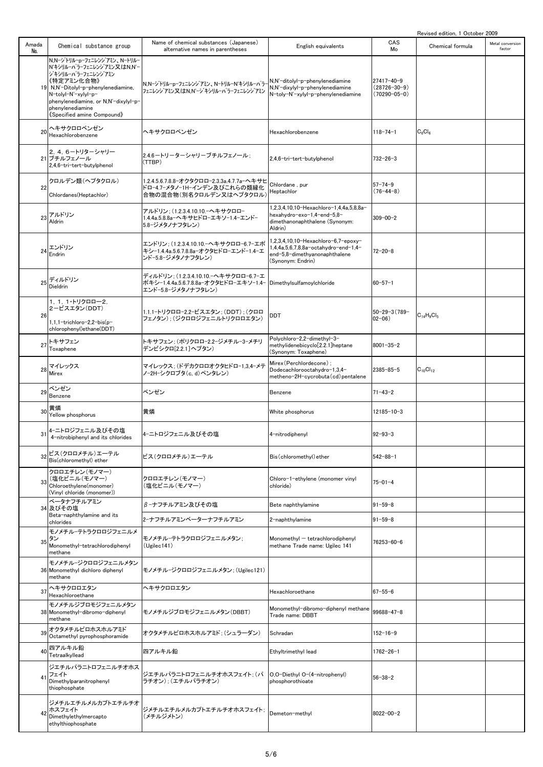| Revised edition, 1 October 2009 |  |
|---------------------------------|--|

|              |                                                                                                                                                                                                                                                         |                                                                                                                               |                                                                                                                                   |                                                        | Revised edition, I October 2009 |                            |
|--------------|---------------------------------------------------------------------------------------------------------------------------------------------------------------------------------------------------------------------------------------------------------|-------------------------------------------------------------------------------------------------------------------------------|-----------------------------------------------------------------------------------------------------------------------------------|--------------------------------------------------------|---------------------------------|----------------------------|
| Amada<br>No. | Chemical substance group                                                                                                                                                                                                                                | Name of chemical substances (Japanese)<br>alternative names in parentheses                                                    | English equivalents                                                                                                               | CAS<br>Mo                                              | Chemical formula                | Metal conversion<br>factor |
|              | N,N-ジトリルーpーフェニレンジアミン、N-トリルー<br>N'キシリルーパラーフェニレンジ アミン又 はN,N'-<br>ジキシリルーパラーフェニレンジアミン<br>《特定アミン化合物》<br>19 N,N'-Ditolyl-p-phenylenediamine,<br>N-tolyl-N'-xylyl-p-<br>phenylenediamine, or N,N'-dixylyl-p-<br>phenylenediamine<br>《Specified amine Compound》 | N,N-ジトリル-p-フェニレンジアミン、N-トリル-N'キシリル-パラ-<br>フェニレンジアミン又はN.N'ージキシリルーパラーフェニレンジアミン                                                   | N,N'-ditolyl-p-phenylenediamine<br>N,N'-dixylyl-p-phenylenediamine<br>N-toly-N'-xylyl-p-phenylenediamine                          | 27417-40-9<br>$(28726 - 30 - 9)$<br>$(70290 - 05 - 0)$ |                                 |                            |
| 20           | ヘキサクロロベンゼン<br>Hexachlorobenzene                                                                                                                                                                                                                         | ヘキサクロロベンゼン                                                                                                                    | Hexachlorobenzene                                                                                                                 | $118 - 74 - 1$                                         | $C_6Cl_6$                       |                            |
|              | 2.4.6-トリターシャリー<br>21 ブチルフェノール<br>2,4,6-tri-tert-butylphenol                                                                                                                                                                                             | 2.4.6ートリーターシャリーブチルフェノール;<br>(TTBP)                                                                                            | 2,4,6-tri-tert-butylphenol                                                                                                        | $732 - 26 - 3$                                         |                                 |                            |
| 22           | クロルデン類(ヘプタクロル)<br>Chlordanes(Heptachlor)                                                                                                                                                                                                                | 1.2.4.5.6.7.8.8-オクタクロロ-2.3.3a.4.7.7a-ヘキサヒ<br>ドロ-4.7-メタノ-1H-インデン及びこれらの類縁化<br>合物の混合物(別名クロルデン又はヘプタクロル)                           | Chlordane, pur<br>Heptachlor                                                                                                      | $57 - 74 - 9$<br>$(76 - 44 - 8)$                       |                                 |                            |
| 23           | アルドリン<br>Aldrin                                                                                                                                                                                                                                         | アルドリン; (1.2.3.4.10.10.-ヘキサクロロ-<br>1.4.4a.5.8.8a-ヘキサヒドローエキソー1.4ーエンドー<br>5.8-ジメタノナフタレン)                                         | 1,2,3,4,10,10-Hexachloro-1,4,4a,5,8,8a-<br>hexahydro-exo-1,4-end-5,8-<br>dimethanonaphthalene (Synonym:<br>Aldrin)                | $309 - 00 - 2$                                         |                                 |                            |
| 24           | エンドリン<br>Endrin                                                                                                                                                                                                                                         | エンドリン; (1.2.3.4.10.10. へキサクロロ-6.7-エポ<br>キシ-1.4.4a.5.6.7.8.8a-オクタヒドロ-エンド-1.4-エ<br>ンドー5.8ージメタノナフタレン)                            | 1,2,3,4,10,10-Hexachloro-6,7-epoxy-<br>1,4,4a,5,6,7,8,8a-octahydro-end-1,4-<br>end-5,8-dimethyanonaphthalene<br>(Synonym: Endrin) | $72 - 20 - 8$                                          |                                 |                            |
| 25           | ディルドリン<br>Dieldrin                                                                                                                                                                                                                                      | ディルドリン; (1.2.3.4.10.10.-ヘキサクロロ-6.7-エ<br>ポキシ-1.4.4a.5.6.7.8.8a-オクタヒドロ-エキソ-1.4- Dimethylsulfamoylchloride<br>エンドー5.8ージメタノナフタレン) |                                                                                                                                   | $60 - 57 - 1$                                          |                                 |                            |
| 26           | 1, 1, 1・トリクロロー2,<br>2-ビスエタン(DDT)<br>1,1,1-trichloro-2,2-bis(p-<br>chlorophenyl)ethane(DDT)                                                                                                                                                              | 1.1.1-トリクロロ-2.2-ビスエタン; (DDT) ; (クロロ<br>フェノタン): (ジクロロジフェニルトリクロロエタン)                                                            | <b>DDT</b>                                                                                                                        | $50 - 29 - 3(789 -$<br>$02 - 06$ )                     | $C_{14}H_9Cl_5$                 |                            |
| 27           | トキサフェン<br>Toxaphene                                                                                                                                                                                                                                     | トキサフェン; (ポリクロロ-2.2-ジメチル-3-メチリ<br>デンビシクロ[2.2.1] ヘプタン)                                                                          | Polychloro-2,2-dimethyl-3-<br>methylidenebicyclo[2.2.1]heptane<br>(Synonym: Toxaphene)                                            | $8001 - 35 - 2$                                        |                                 |                            |
|              | マイレックス<br>$28$ Mirex                                                                                                                                                                                                                                    | マイレックス; (ドデカクロロオクタヒドロ-1,3,4-メテ<br>ノー2Hーシクロブタ(c, d)ペンタレン)                                                                      | Mirex (Perchlordecone) ;<br>Dodecachlorooctahydro-1,3,4-<br>metheno-2H-cycrobuta(cd)pentalene                                     | $2385 - 85 - 5$                                        | $C_{10}Cl_{12}$                 |                            |
| 29           | ベンゼン<br>Benzene                                                                                                                                                                                                                                         | ベンゼン                                                                                                                          | Benzene                                                                                                                           | $71 - 43 - 2$                                          |                                 |                            |
| 30           | 黄燐<br>Yellow phosphorus                                                                                                                                                                                                                                 | 黄燐                                                                                                                            | White phosphorus                                                                                                                  | $12185 - 10 - 3$                                       |                                 |                            |
| 31           | 4-ニトロジフェニル及びその塩<br>4-nitrobiphenyl and its chlorides                                                                                                                                                                                                    | 4-ニトロジフェニル及びその塩                                                                                                               | 4-nitrodiphenyl                                                                                                                   | $92 - 93 - 3$                                          |                                 |                            |
|              | ビス(クロロメチル)エーテル<br>Bis(chloromethyl) ether                                                                                                                                                                                                               | ビス(クロロメチル)エーテル                                                                                                                | Bis (chloromethyl) ether                                                                                                          | $542 - 88 - 1$                                         |                                 |                            |
| 33           | クロロエチレン (モノマー)<br>(塩化ビニル(モノマー)<br>Chloroethylene(monomer)<br>(Vinvl chloride (monomer))                                                                                                                                                                 | クロロエチレン(モノマー)<br>(塩化ビニル(モノマー)                                                                                                 | Chloro-1-ethylene (monomer vinyl<br>chloride)                                                                                     | $75 - 01 - 4$                                          |                                 |                            |
|              | ベータナフチルアミン<br>34 及びその塩                                                                                                                                                                                                                                  | β-ナフチルアミン及びその塩                                                                                                                | Bete naphthylamine                                                                                                                | $91 - 59 - 8$                                          |                                 |                            |
|              | Beta-naphthylamine and its<br>chlorides                                                                                                                                                                                                                 | 2-ナフチルアミンベーターナフチルアミン                                                                                                          | 2-naphthylamine                                                                                                                   | $91 - 59 - 8$                                          |                                 |                            |
| 35           | モノメチルーテトラクロロジフェニルメ<br>タン<br>Monomethyl-tetrachlorodiphenyl<br>methane                                                                                                                                                                                   | モノメチルーテトラクロロジフェニルメタン:<br>(Ugilec141)                                                                                          | Monomethyl - tetrachlorodiphenyl<br>methane Trade name: Ugilec 141                                                                | 76253-60-6                                             |                                 |                            |
|              | モノメチルージクロロジフェニルメタン<br>36 Monomethyl dichloro diphenyl<br>methane                                                                                                                                                                                        | モノメチル-ジクロロジフェニルメタン: (Ugilec121)                                                                                               |                                                                                                                                   |                                                        |                                 |                            |
| 37           | ヘキサクロロエタン<br>Hexachloroethane                                                                                                                                                                                                                           | ヘキサクロロエタン                                                                                                                     | Hexachloroethane                                                                                                                  | $67 - 55 - 6$                                          |                                 |                            |
|              | モノメチルジブロモジフェニルメタン<br>38 Monomethyl-dibromo-diphenyl<br>methane                                                                                                                                                                                          | モノメチルジブロモジフェニルメタン(DBBT)                                                                                                       | Monomethyl-dibromo-diphenyl methane<br>Trade name: DBBT                                                                           | $99688 - 47 - 8$                                       |                                 |                            |
| 39           | オクタメチルピロホスホルアミド<br>Octamethyl pyrophosphoramide                                                                                                                                                                                                         | オクタメチルピロホスホルアミド: (シュラーダン)                                                                                                     | Schradan                                                                                                                          | $152 - 16 - 9$                                         |                                 |                            |
| 40           | 四アルキル鉛<br>Tetraalkyllead                                                                                                                                                                                                                                | 四アルキル鉛                                                                                                                        | Ethyltrimethyl lead                                                                                                               | $1762 - 26 - 1$                                        |                                 |                            |
| 41           | ジエチルパラニトロフェニルチオホス<br>フェイト<br>Dimethylparanitrophenyl<br>thiophosphate                                                                                                                                                                                   | ジエチルパラニトロフェニルチオホスフェイト;(パ<br>ラチオン); (エチルパラチオン)                                                                                 | O,O-Diethyl O-(4-nitrophenyl)<br>phosphorothioate                                                                                 | $56 - 38 - 2$                                          |                                 |                            |
|              | ジメチルエチルメルカプトエチルチオ<br>ホスフェイト<br>Dimethylethylmercapto<br>ethylthiophosphate                                                                                                                                                                              | ジメチルエチルメルカプトエチルチオホスフェイト;<br>(メチルジメトン)                                                                                         | Demeton-methyl                                                                                                                    | $8022 - 00 - 2$                                        |                                 |                            |